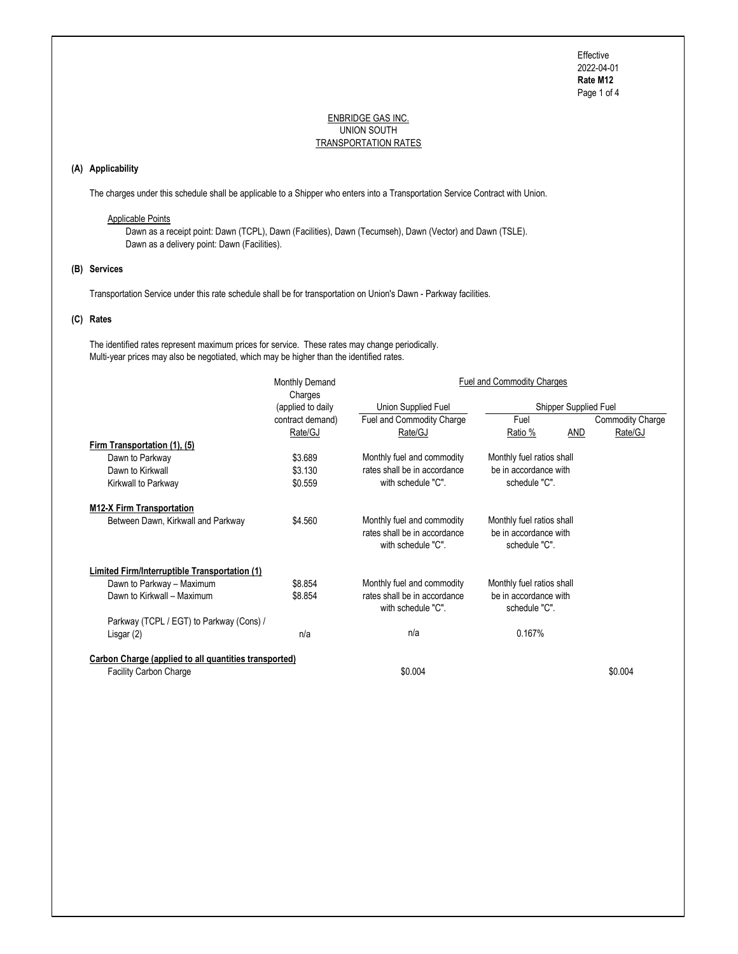Page 1 of 4 Effective 2022-04-01 Rate M12

## ENBRIDGE GAS INC. UNION SOUTH TRANSPORTATION RATES

# (A) Applicability

The charges under this schedule shall be applicable to a Shipper who enters into a Transportation Service Contract with Union.

# Applicable Points

 Dawn as a receipt point: Dawn (TCPL), Dawn (Facilities), Dawn (Tecumseh), Dawn (Vector) and Dawn (TSLE). Dawn as a delivery point: Dawn (Facilities).

## (B) Services

Transportation Service under this rate schedule shall be for transportation on Union's Dawn - Parkway facilities.

# (C) Rates

 The identified rates represent maximum prices for service. These rates may change periodically. Multi-year prices may also be negotiated, which may be higher than the identified rates.

|                                                              | Monthly Demand    | <b>Fuel and Commodity Charges</b>                                                |                                                                     |                         |  |
|--------------------------------------------------------------|-------------------|----------------------------------------------------------------------------------|---------------------------------------------------------------------|-------------------------|--|
|                                                              | Charges           |                                                                                  |                                                                     |                         |  |
|                                                              | (applied to daily | Union Supplied Fuel                                                              | Shipper Supplied Fuel                                               |                         |  |
|                                                              | contract demand)  | Fuel and Commodity Charge                                                        | Fuel                                                                | <b>Commodity Charge</b> |  |
|                                                              | Rate/GJ           | Rate/GJ                                                                          | AND<br>Ratio %                                                      | Rate/GJ                 |  |
| Firm Transportation (1), (5)                                 |                   |                                                                                  |                                                                     |                         |  |
| Dawn to Parkway                                              | \$3.689           | Monthly fuel and commodity                                                       | Monthly fuel ratios shall                                           |                         |  |
| Dawn to Kirkwall                                             | \$3.130           | rates shall be in accordance                                                     | be in accordance with                                               |                         |  |
| Kirkwall to Parkway                                          | \$0.559           | with schedule "C".                                                               | schedule "C".                                                       |                         |  |
| <b>M12-X Firm Transportation</b>                             |                   |                                                                                  |                                                                     |                         |  |
| Between Dawn, Kirkwall and Parkway                           | \$4.560           | Monthly fuel and commodity<br>rates shall be in accordance<br>with schedule "C". | Monthly fuel ratios shall<br>be in accordance with<br>schedule "C". |                         |  |
| <b>Limited Firm/Interruptible Transportation (1)</b>         |                   |                                                                                  |                                                                     |                         |  |
| Dawn to Parkway - Maximum                                    | \$8.854           | Monthly fuel and commodity                                                       | Monthly fuel ratios shall                                           |                         |  |
| Dawn to Kirkwall - Maximum                                   | \$8.854           | rates shall be in accordance<br>with schedule "C".                               | be in accordance with<br>schedule "C".                              |                         |  |
| Parkway (TCPL / EGT) to Parkway (Cons) /                     |                   |                                                                                  |                                                                     |                         |  |
| Lisgar (2)                                                   | n/a               | n/a                                                                              | 0.167%                                                              |                         |  |
| <b>Carbon Charge (applied to all quantities transported)</b> |                   |                                                                                  |                                                                     |                         |  |
| <b>Facility Carbon Charge</b>                                |                   | \$0.004                                                                          |                                                                     | \$0.004                 |  |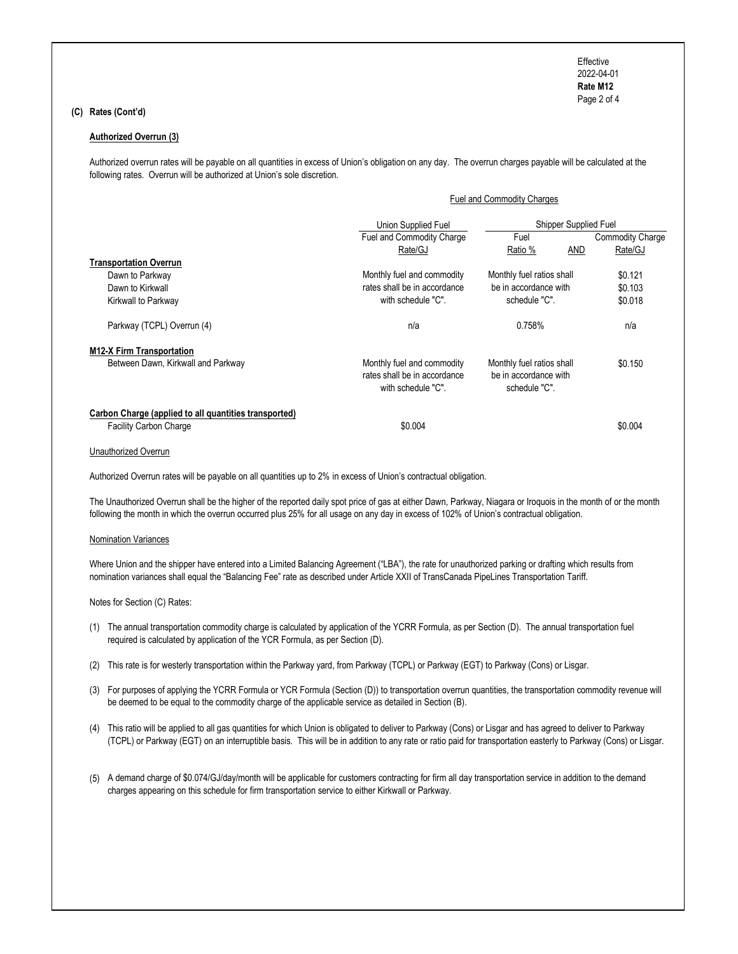Page 2 of 4 Effective 2022-04-01 Rate M12

# (C) Rates (Cont'd)

### Authorized Overrun (3)

 Authorized overrun rates will be payable on all quantities in excess of Union's obligation on any day. The overrun charges payable will be calculated at the following rates. Overrun will be authorized at Union's sole discretion.

#### Fuel and Commodity Charges

|                                                                                        | Union Supplied Fuel                                                              | Shipper Supplied Fuel                                               |                         |  |
|----------------------------------------------------------------------------------------|----------------------------------------------------------------------------------|---------------------------------------------------------------------|-------------------------|--|
|                                                                                        | Fuel and Commodity Charge                                                        | Fuel                                                                | <b>Commodity Charge</b> |  |
|                                                                                        | Rate/GJ                                                                          | AND<br>Ratio %                                                      | Rate/GJ                 |  |
| <b>Transportation Overrun</b>                                                          |                                                                                  |                                                                     |                         |  |
| Dawn to Parkway                                                                        | Monthly fuel and commodity                                                       | Monthly fuel ratios shall                                           | \$0.121                 |  |
| Dawn to Kirkwall                                                                       | rates shall be in accordance                                                     | be in accordance with                                               | \$0.103                 |  |
| Kirkwall to Parkway                                                                    | with schedule "C".                                                               | schedule "C".                                                       | \$0.018                 |  |
| Parkway (TCPL) Overrun (4)                                                             | n/a                                                                              | 0.758%                                                              | n/a                     |  |
| <b>M12-X Firm Transportation</b>                                                       |                                                                                  |                                                                     |                         |  |
| Between Dawn, Kirkwall and Parkway                                                     | Monthly fuel and commodity<br>rates shall be in accordance<br>with schedule "C". | Monthly fuel ratios shall<br>be in accordance with<br>schedule "C". | \$0.150                 |  |
| Carbon Charge (applied to all quantities transported)<br><b>Facility Carbon Charge</b> | \$0.004                                                                          |                                                                     | \$0.004                 |  |

## Unauthorized Overrun

Authorized Overrun rates will be payable on all quantities up to 2% in excess of Union's contractual obligation.

 The Unauthorized Overrun shall be the higher of the reported daily spot price of gas at either Dawn, Parkway, Niagara or Iroquois in the month of or the month following the month in which the overrun occurred plus 25% for all usage on any day in excess of 102% of Union's contractual obligation.

#### Nomination Variances

 Where Union and the shipper have entered into a Limited Balancing Agreement ("LBA"), the rate for unauthorized parking or drafting which results from nomination variances shall equal the "Balancing Fee" rate as described under Article XXII of TransCanada PipeLines Transportation Tariff.

Notes for Section (C) Rates:

- (1) The annual transportation commodity charge is calculated by application of the YCRR Formula, as per Section (D). The annual transportation fuel required is calculated by application of the YCR Formula, as per Section (D).
- (2) This rate is for westerly transportation within the Parkway yard, from Parkway (TCPL) or Parkway (EGT) to Parkway (Cons) or Lisgar.
- (3) For purposes of applying the YCRR Formula or YCR Formula (Section (D)) to transportation overrun quantities, the transportation commodity revenue will be deemed to be equal to the commodity charge of the applicable service as detailed in Section (B).
- (4) This ratio will be applied to all gas quantities for which Union is obligated to deliver to Parkway (Cons) or Lisgar and has agreed to deliver to Parkway (TCPL) or Parkway (EGT) on an interruptible basis. This will be in addition to any rate or ratio paid for transportation easterly to Parkway (Cons) or Lisgar.
- (5) A demand charge of \$0.074/GJ/day/month will be applicable for customers contracting for firm all day transportation service in addition to the demand charges appearing on this schedule for firm transportation service to either Kirkwall or Parkway.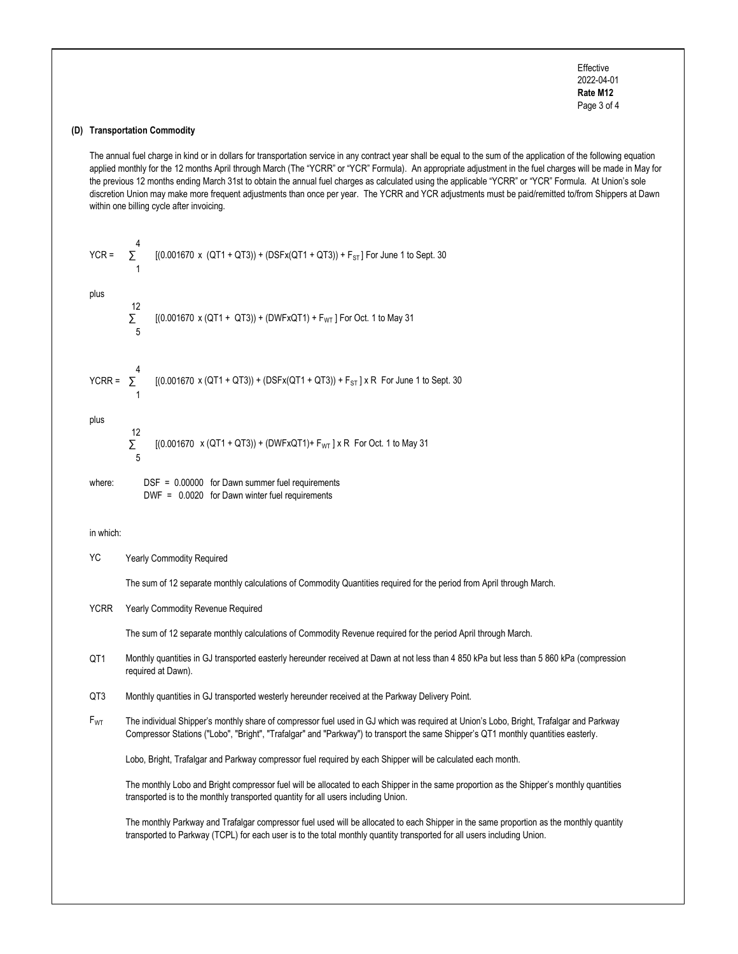Page 3 of 4 Effective 2022-04-01 Rate M12

## (D) Transportation Commodity

 The annual fuel charge in kind or in dollars for transportation service in any contract year shall be equal to the sum of the application of the following equation applied monthly for the 12 months April through March (The "YCRR" or "YCR" Formula). An appropriate adjustment in the fuel charges will be made in May for the previous 12 months ending March 31st to obtain the annual fuel charges as calculated using the applicable "YCRR" or "YCR" Formula. At Union's sole discretion Union may make more frequent adjustments than once per year. The YCRR and YCR adjustments must be paid/remitted to/from Shippers at Dawn within one billing cycle after invoicing.

| $YCR =$ | 4       | $[(0.001670 \times (QT1 + QT3)) + (DSFx(QT1 + QT3)) + F_{ST}]$ For June 1 to Sept. 30 |
|---------|---------|---------------------------------------------------------------------------------------|
| plus    | 12<br>5 | $[(0.001670 \times (QT1 + QT3)) + (DWFxQT1) + FWT]$ For Oct. 1 to May 31              |

 $YCRR = \sum$ 4  $[(0.001670 \times (QT1 + QT3)) + (DSFx(QT1 + QT3)) + F_{ST}] \times R$  For June 1 to Sept. 30 1

plus

12  
\n
$$
\Sigma
$$
 [(0.001670 x (QT1 + QT3)) + (DWFxQT1)+ F<sub>WT</sub>] x R For Oct. 1 to May 31

where: **DSF = 0.00000** for Dawn summer fuel requirements DWF = 0.0020 for Dawn winter fuel requirements

in which:

YC Yearly Commodity Required

The sum of 12 separate monthly calculations of Commodity Quantities required for the period from April through March.

YCRR Yearly Commodity Revenue Required

The sum of 12 separate monthly calculations of Commodity Revenue required for the period April through March.

- QT1 Monthly quantities in GJ transported easterly hereunder received at Dawn at not less than 4 850 kPa but less than 5 860 kPa (compression required at Dawn).
- QT3 Monthly quantities in GJ transported westerly hereunder received at the Parkway Delivery Point.
- $F_{\rm WT}$  The individual Shipper's monthly share of compressor fuel used in GJ which was required at Union's Lobo, Bright, Trafalgar and Parkway Compressor Stations ("Lobo", "Bright", "Trafalgar" and "Parkway") to transport the same Shipper's QT1 monthly quantities easterly.

Lobo, Bright, Trafalgar and Parkway compressor fuel required by each Shipper will be calculated each month.

 The monthly Lobo and Bright compressor fuel will be allocated to each Shipper in the same proportion as the Shipper's monthly quantities transported is to the monthly transported quantity for all users including Union.

 transported to Parkway (TCPL) for each user is to the total monthly quantity transported for all users including Union.The monthly Parkway and Trafalgar compressor fuel used will be allocated to each Shipper in the same proportion as the monthly quantity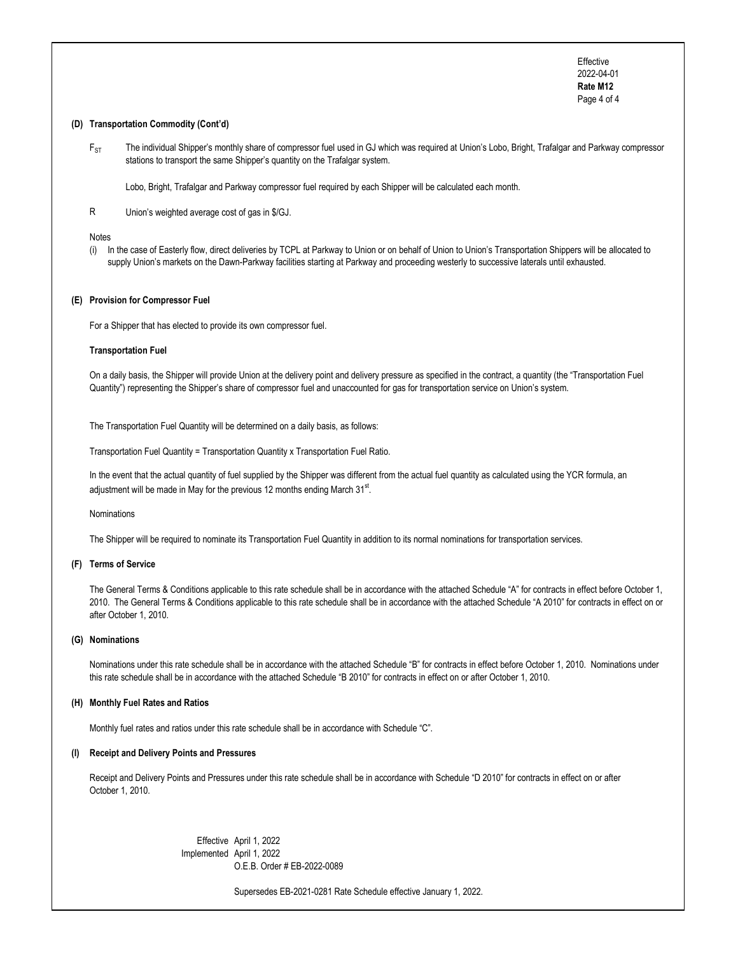Page 4 of 4 Effective 2022-04-01 Rate M12

## (D) Transportation Commodity (Cont'd)

 $F_{\rm ST}$  The individual Shipper's monthly share of compressor fuel used in GJ which was required at Union's Lobo, Bright, Trafalgar and Parkway compressor stations to transport the same Shipper's quantity on the Trafalgar system.

Lobo, Bright, Trafalgar and Parkway compressor fuel required by each Shipper will be calculated each month.

R Union's weighted average cost of gas in \$/GJ.

#### Notes

 (i) In the case of Easterly flow, direct deliveries by TCPL at Parkway to Union or on behalf of Union to Union's Transportation Shippers will be allocated to supply Union's markets on the Dawn-Parkway facilities starting at Parkway and proceeding westerly to successive laterals until exhausted.

### (E) Provision for Compressor Fuel

For a Shipper that has elected to provide its own compressor fuel.

## Transportation Fuel

 On a daily basis, the Shipper will provide Union at the delivery point and delivery pressure as specified in the contract, a quantity (the "Transportation Fuel Quantity") representing the Shipper's share of compressor fuel and unaccounted for gas for transportation service on Union's system.

The Transportation Fuel Quantity will be determined on a daily basis, as follows:

Transportation Fuel Quantity = Transportation Quantity x Transportation Fuel Ratio.

 In the event that the actual quantity of fuel supplied by the Shipper was different from the actual fuel quantity as calculated using the YCR formula, an adjustment will be made in May for the previous 12 months ending March  $31<sup>st</sup>$ .

#### Nominations

The Shipper will be required to nominate its Transportation Fuel Quantity in addition to its normal nominations for transportation services.

## (F) Terms of Service

 The General Terms & Conditions applicable to this rate schedule shall be in accordance with the attached Schedule "A" for contracts in effect before October 1, 2010. The General Terms & Conditions applicable to this rate schedule shall be in accordance with the attached Schedule "A 2010" for contracts in effect on or after October 1, 2010.

# (G) Nominations

 Nominations under this rate schedule shall be in accordance with the attached Schedule "B" for contracts in effect before October 1, 2010. Nominations under this rate schedule shall be in accordance with the attached Schedule "B 2010" for contracts in effect on or after October 1, 2010.

### (H) Monthly Fuel Rates and Ratios

Monthly fuel rates and ratios under this rate schedule shall be in accordance with Schedule "C".

### (I) Receipt and Delivery Points and Pressures

 Receipt and Delivery Points and Pressures under this rate schedule shall be in accordance with Schedule "D 2010" for contracts in effect on or after October 1, 2010.

> O.E.B. Order # EB-2022-0089 Effective April 1, 2022 Implemented April 1, 2022

> > Supersedes EB-2021-0281 Rate Schedule effective January 1, 2022.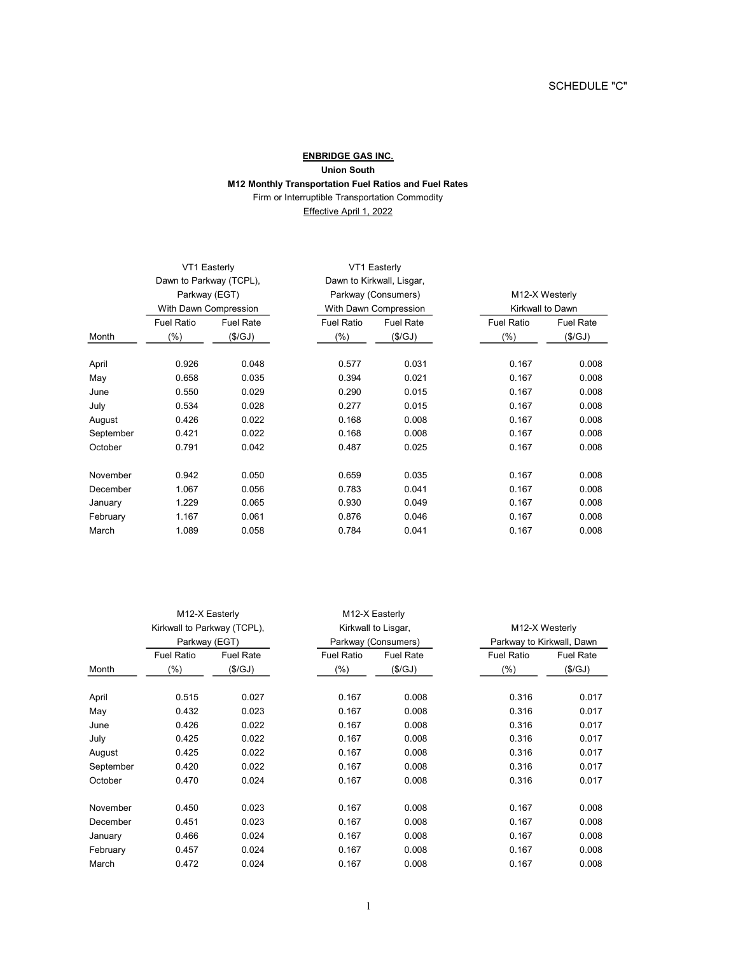# ENBRIDGE GAS INC. M12 Monthly Transportation Fuel Ratios and Fuel Rates Firm or Interruptible Transportation Commodity Effective April 1, 2022 Union South

| VT1 Easterly            |                  |                                              | VT1 Easterly     |                   |                  |  |
|-------------------------|------------------|----------------------------------------------|------------------|-------------------|------------------|--|
| Dawn to Parkway (TCPL), |                  | Dawn to Kirkwall, Lisgar,                    |                  |                   |                  |  |
|                         |                  | Parkway (Consumers)<br>With Dawn Compression |                  |                   | M12-X Westerly   |  |
|                         |                  |                                              |                  | Kirkwall to Dawn  |                  |  |
| <b>Fuel Ratio</b>       | <b>Fuel Rate</b> | <b>Fuel Ratio</b>                            | <b>Fuel Rate</b> | <b>Fuel Ratio</b> | <b>Fuel Rate</b> |  |
| $(\% )$                 | (\$/GJ)          | $(\%)$                                       | (\$/GJ)          | $(\% )$           | (\$/GJ)          |  |
| 0.926                   | 0.048            | 0.577                                        | 0.031            | 0.167             | 0.008            |  |
| 0.658                   | 0.035            | 0.394                                        | 0.021            | 0.167             | 0.008            |  |
| 0.550                   | 0.029            | 0.290                                        | 0.015            | 0.167             | 0.008            |  |
| 0.534                   | 0.028            | 0.277                                        | 0.015            | 0.167             | 0.008            |  |
| 0.426                   | 0.022            | 0.168                                        | 0.008            | 0.167             | 0.008            |  |
| 0.421                   | 0.022            | 0.168                                        | 0.008            | 0.167             | 0.008            |  |
| 0.791                   | 0.042            | 0.487                                        | 0.025            | 0.167             | 0.008            |  |
| 0.942                   | 0.050            | 0.659                                        | 0.035            | 0.167             | 0.008            |  |
| 1.067                   | 0.056            | 0.783                                        | 0.041            | 0.167             | 0.008            |  |
| 1.229                   | 0.065            | 0.930                                        | 0.049            | 0.167             | 0.008            |  |
| 1.167                   | 0.061            | 0.876                                        | 0.046            | 0.167             | 0.008            |  |
| 1.089                   | 0.058            | 0.784                                        | 0.041            | 0.167             | 0.008            |  |
|                         |                  | Parkway (EGT)<br>With Dawn Compression       |                  |                   |                  |  |

|                             | M12-X Easterly<br>M12-X Easterly |                  |                     |                     |                   |                           |  |
|-----------------------------|----------------------------------|------------------|---------------------|---------------------|-------------------|---------------------------|--|
| Kirkwall to Parkway (TCPL), |                                  |                  | Kirkwall to Lisgar, |                     | M12-X Westerly    |                           |  |
|                             | Parkway (EGT)                    |                  |                     | Parkway (Consumers) |                   | Parkway to Kirkwall, Dawn |  |
|                             | <b>Fuel Ratio</b>                | <b>Fuel Rate</b> | <b>Fuel Ratio</b>   | <b>Fuel Rate</b>    | <b>Fuel Ratio</b> | <b>Fuel Rate</b>          |  |
| Month                       | $(\%)$                           | (\$/GJ)          | $(\% )$             | (\$/GJ)             | $(\% )$           | (\$/GJ)                   |  |
| April                       | 0.515                            | 0.027            | 0.167               | 0.008               | 0.316             | 0.017                     |  |
| May                         | 0.432                            | 0.023            | 0.167               | 0.008               | 0.316             | 0.017                     |  |
| June                        | 0.426                            | 0.022            | 0.167               | 0.008               | 0.316             | 0.017                     |  |
| July                        | 0.425                            | 0.022            | 0.167               | 0.008               | 0.316             | 0.017                     |  |
| August                      | 0.425                            | 0.022            | 0.167               | 0.008               | 0.316             | 0.017                     |  |
| September                   | 0.420                            | 0.022            | 0.167               | 0.008               | 0.316             | 0.017                     |  |
| October                     | 0.470                            | 0.024            | 0.167               | 0.008               | 0.316             | 0.017                     |  |
| November                    | 0.450                            | 0.023            | 0.167               | 0.008               | 0.167             | 0.008                     |  |
| December                    | 0.451                            | 0.023            | 0.167               | 0.008               | 0.167             | 0.008                     |  |
| January                     | 0.466                            | 0.024            | 0.167               | 0.008               | 0.167             | 0.008                     |  |
| February                    | 0.457                            | 0.024            | 0.167               | 0.008               | 0.167             | 0.008                     |  |
| March                       | 0.472                            | 0.024            | 0.167               | 0.008               | 0.167             | 0.008                     |  |